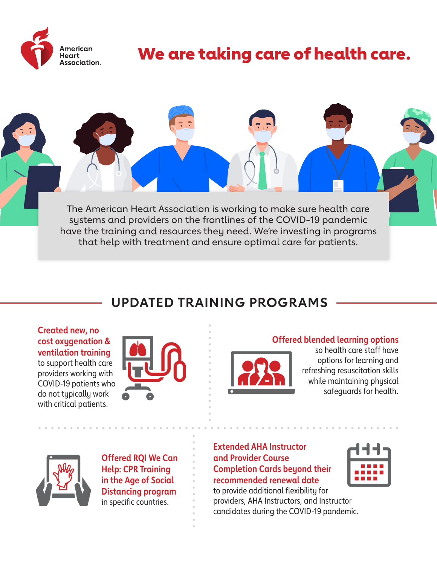

# We are taking care of health care.

The American Heart Association is working to make sure health care systems and providers on the frontlines of the COVID-19 pandemic have the training and resources they need. We're investing in programs that help with treatment and ensure optimal care for patients.

## **UPDATED TRAINING PROGRAMS**

**Created new, no cost oxygenation & ventilation training** to support health care providers working with COVID-19 patients who do not typically work with critical patients.



### **Offered blended learning options**



so health care staff have options for learning and refreshing resuscitation skills while maintaining physical safeguards for health.



**Offered RQI We Can Help: CPR Training in the Age of Social Distancing program** in specific countries.

**Extended AHA Instructor and Provider Course Completion Cards beyond their recommended renewal date**

to provide additional flexibility for providers, AHA Instructors, and Instructor candidates during the COVID-19 pandemic.